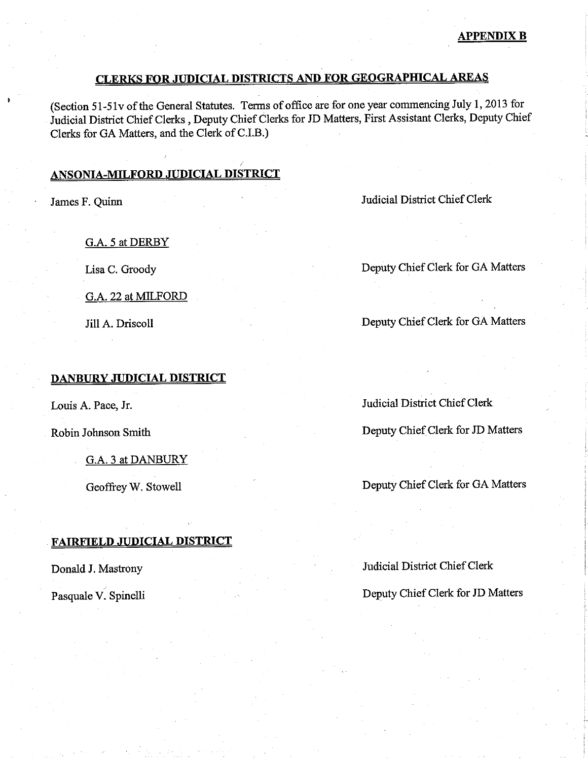(Section 51-51v of the General Statutes. Terms of office are for one year commencing July 1, 2013 for Judicial District Chief Clerks , Deputy Chief Clerks for JD Matters, First Assistant Clerks, Deputy Chief Clerks for GA Matters, and the Clerk of C.I.B.)

## ANSONIA-MILFORD JUDICIAL DISTRICT

James F. Quinn

Judicial District Chief Clerk

Deputy Chief Clerk for GA Matters

Deputy Chief Clerk for GA Matters

G.A. 5 at DERBY

Lisa C. Groody

G.4.22 atMILFORD

Jill A. Driscoll

## DANBURY JUDICIAL DISTRICT

Louis A. Pace, Jr.

Robin Johnson Smith

G.4.3 atDANBURY

Geoffrey W. Stowell

Judicial District Chief Clerk

Deputy Chief Clerk for JD Matters

Deputy Chief Clerk for GA Matters

#### FAIRFIELD JUDICIAL DIST

Donald J. Mastrony

Pasquale V. Spinelli

Judicial District Chief Clerk

Deputy Chief Clerk for JD Matters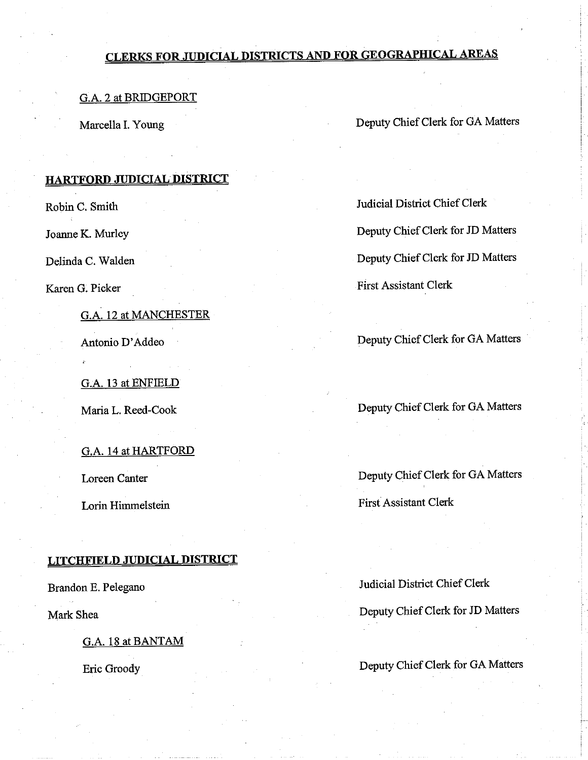#### G.A. 2 at BRIDGEPORT

Marcella I. Young

#### HARTFORD JUDICIAL DISTRICT

Robin C. Smith

Joanne K. Murley

Delinda C. Walden

Karen G. Picker

G.A. 12 at MANCHESTER

Antonio D'Addeo

G.A. 13 at ENFIELD

Maria L. Reed-Cook

G.A. 14 at HARTFORD

Loreen Canter

Lorin Himmelstein

#### LITCHFIELD JUDICIAL DISTRICT

Brandon E. Pelegano

Mark Shea

G.A. 18 at BANTAM

Eric Groody

Deputy Chief Clerk for GA Matters

Judicial District Chief Clerk Deputy Chief Clerk for JD Matters Deputy Chief Clerk for JD Matters First Assistant Clerk

Deputy Chief Clerk for GA Matters

Deputy Chief Clerk for GA Matters

Deputy Chief Clerk for GA Matters First Assistant Clerk

Judicial District Chief Clerk

Deputy Chief Clerk for JD Matters

Deputy Chief Clerk for GA Matters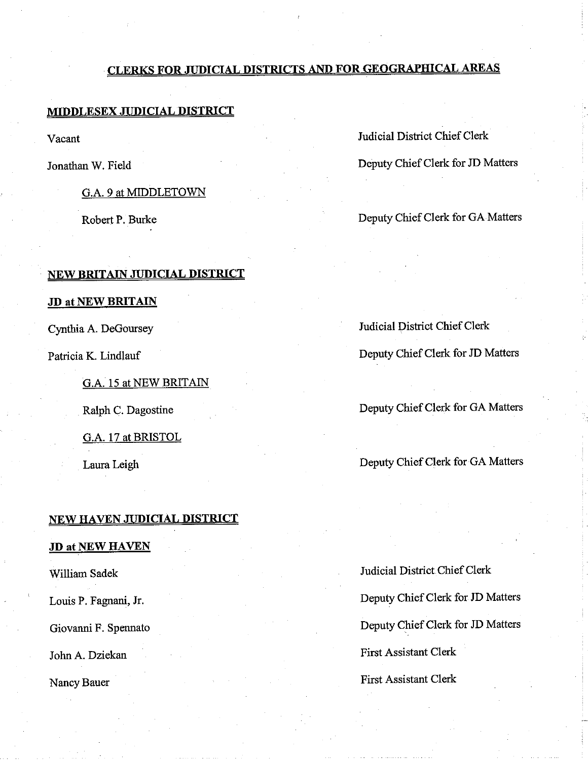# **MIDDLESEX JUDICIAL DISTRICT**

Vacant

Jonathan W. Field

G.A. 9 at MIDDLETOWN

Robert P. Burke

#### NEW BRITAIN JUDICIAL DISTRICT

#### JD at NEW BRITAIN

Cynthia A. DeGoursey

Patricia K. Lindlauf

G.A. 15 at NEW BRITAIN

Ralph C. Dagostine

G.A. 17 at BRISTOL

Laura Leigh

#### NEW HAVEN JUDICIAL DISTRICT

#### JD at NEW HAVEN

William Sadek

Louis P. Fagnani, Jr.

Giovanni F. Spennato

John A. Dziekan

Nancy Bauer

Judicial District Chief Clerk

Deputy Chief Clerk for JD Matters

Deputy Chief Clerk for GA.Matters

Judicial District Chief Clerk

Deputy Chief Clerk for JD Matters

Deputy Chief Clerk for GA Matters

Deputy Chief Clerk for GA Matters

Judicial District Chief Clerk Deputy Chief Clerk for JD Matters Deputy Chief Clerk for JD Matters First Assistant Clerk First Assistant Clerk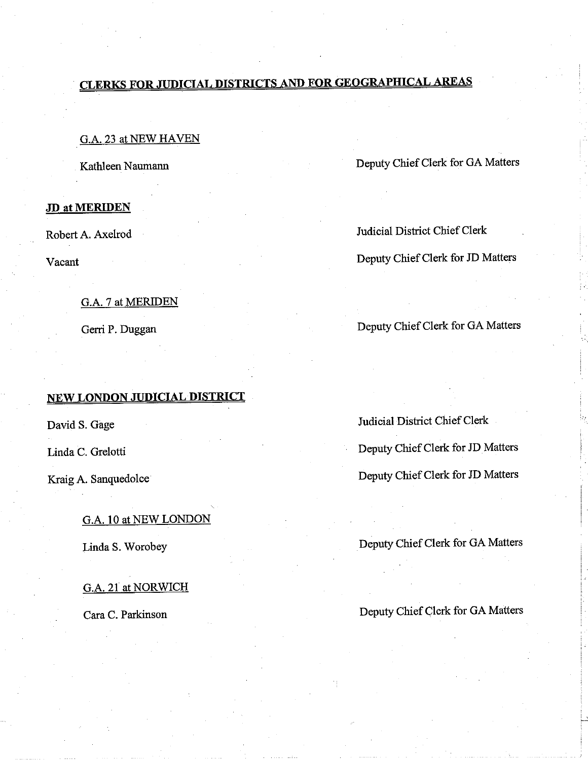## G.A. 23 at NEW HAVEN

Kathleen Naumann

#### JD at MERIDEN

Robert A. Axelrod

Vacant

#### G.A. 7 at MERIDEN

Gerri P. Duggan

## NEW LONDON JUDICIAL DISTRICT

David S. Gage

Linda C. Grelotti

Kraig A. Sanquedolce

G.A. 10 at NEW LONDON

Linda S. Worobey

G.A. 21 at NORWICH

Cara C. Parkinson

Deputy Chief Clerk for GA Matters

Judicial District Chief Clerk

Deputy Chief Clerk for JD Matters

Deputy Chief Clerk for GA Matters

Judicial District Chief Clerk

Deputy Chief Clerk for JD Matters

Deputy Chief Clerk for JD Matters

Deputy Chief Clerk for GA Matters

Deputy Chief Clerk for GA Matters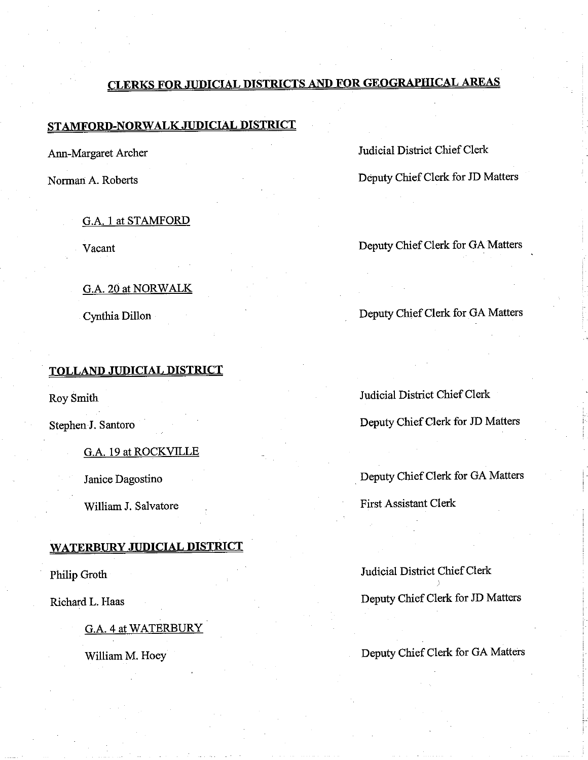## STAMFORD-NORWALK JUDICIAL DISTRICT

Ann-Margaret Archer

Norman A. Roberts

G.A. 1 at STAMFORD

Vacant

#### G.A. 20 at NORWALK

Cyrrthia Dillon

# TOLLAND JUDICIAL DISTRICT

Roy Smith

Stephen J. Santoro

#### G.A. 19 at ROCKVILLE

Janice Dagostino

William J. Salvatore

#### WATERBURY JUDICIAL DISTRICT

Philip Groth

Richard L. Haas

G.A. 4 at WATERBURY

William M. Hoey

Judicial District Chief Clerk

Deputy Chief Clerk for JD Matters

Deputy Chief Clerk for GA Matters

Deputy Chief Clerk for GA Matters

Judicial District Chief Clerk

Deputy Chief Clerk for JD Matters

Deputy Chief Clerk for GA Matters

First Assistant Clerk

Judicial District Chief Clerk

Deputy Chief Clerk for JD Matters

Deputy Chief Clerk for GA Matters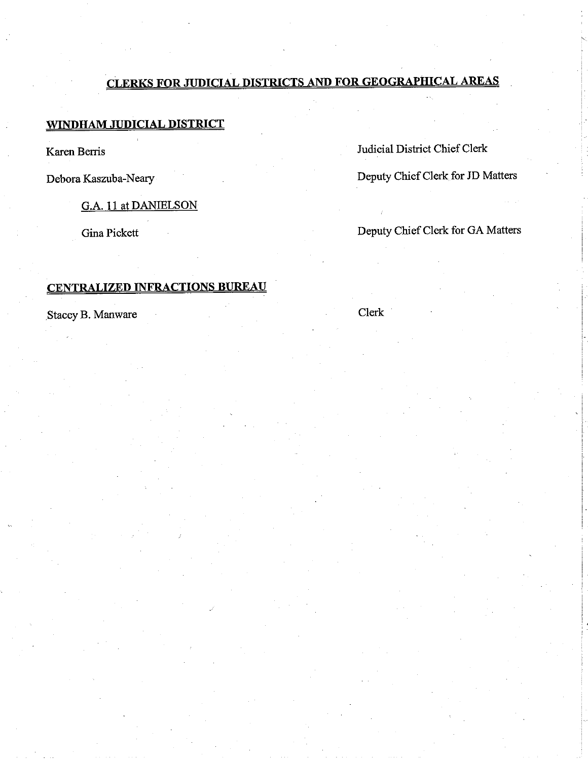## WINDHAM JUDICIAL DISTRICT

G.A. 11 at DANIELSON

Karen Berris Judicial District Chief Clerk

Debora Kaszuba-Neary Deputy Chief clerk for JD Matters

Gina Pickett Deputy Chief Clerk for GA Matters

## CENTRALIZED INFRACTIONS BUREAU

Stacey B. Manware Clerk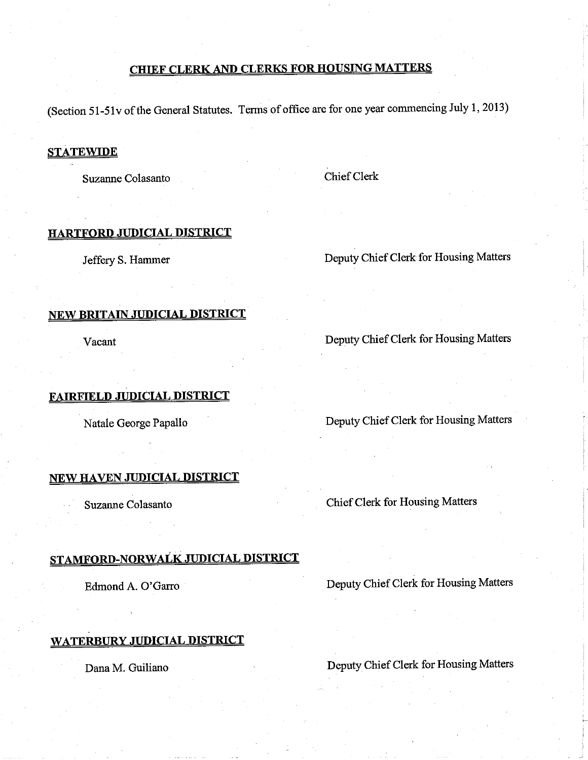## **CHIEF CLERK AND CLERKS FOR HOUSING MATTERS**

(Section 51-51v of the General Statutes. Terms of office are for one year commencing July 1, 2013)

#### **STATEWIDE**

Suzanne Colasanto

**Chief Clerk** 

## **HARTFORD JUDICIAL DISTRICT**

Jeffery S. Hammer

Deputy Chief Clerk for Housing Matters

# **NEW BRITAIN JUDICIAL DISTRICT**

Vacant

Deputy Chief Clerk for Housing Matters

#### **FAIRFIELD JUDICIAL DISTRICT**

Natale George Papallo

#### Deputy Chief Clerk for Housing Matters

#### **NEW HAVEN JUDICIAL DISTRICT**

Suzanne Colasanto

**Chief Clerk for Housing Matters** 

# STAMFORD-NORWALK JUDICIAL DISTRICT

Edmond A. O'Garro

Deputy Chief Clerk for Housing Matters

#### WATERBURY JUDICIAL DISTRICT

Dana M. Guiliano

Deputy Chief Clerk for Housing Matters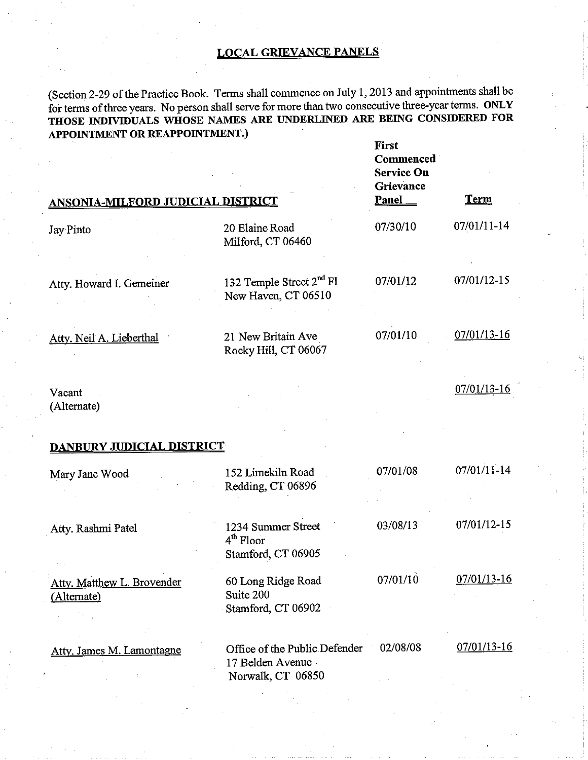## LOCAL GRIEVANCE PANELS

(Section 2-29 of the Practice Book. Terms shall commence on July 1, 2013 and appointments shall be for terms of three years. No person shall serve for more than two consecutive three-year terms. ONLY THOSE INDIVIDUALS WHOSE NAMES ARE UNDERLINED ARE BEING CONSIDERED FOR APPOINTMENT OR REAPPOINTMENT,)

| <b>ANSONIA-MILFORD JUDICIAL DISTRICT</b>  |                                                                        | First<br>Commenced<br><b>Service On</b><br><b>Grievance</b><br><b>Panel</b> | <u>Term</u>     |
|-------------------------------------------|------------------------------------------------------------------------|-----------------------------------------------------------------------------|-----------------|
| Jay Pinto                                 | 20 Elaine Road<br>Milford, CT 06460                                    | 07/30/10                                                                    | 07/01/11-14     |
| Atty. Howard I. Gemeiner                  | 132 Temple Street 2 <sup>nd</sup> Fl<br>New Haven, CT 06510            | 07/01/12                                                                    | 07/01/12-15     |
| Atty. Neil A. Lieberthal                  | 21 New Britain Ave<br>Rocky Hill, CT 06067                             | 07/01/10                                                                    | $07/01/13-16$   |
| Vacant<br>(Alternate)                     |                                                                        |                                                                             | 07/01/13-16     |
| <b>DANBURY JUDICIAL DISTRICT</b>          |                                                                        |                                                                             |                 |
| Mary Jane Wood                            | 152 Limekiln Road<br>Redding, CT 06896                                 | 07/01/08                                                                    | 07/01/11-14     |
| Atty. Rashmi Patel                        | 1234 Summer Street<br>4 <sup>th</sup> Floor<br>Stamford, CT 06905      | 03/08/13                                                                    | 07/01/12-15     |
| Atty. Matthew L. Brovender<br>(Alternate) | 60 Long Ridge Road<br>Suite 200<br>Stamford, CT 06902                  | 07/01/10                                                                    | 07/01/13-16     |
| Atty. James M. Lamontagne                 | Office of the Public Defender<br>17 Belden Avenue<br>Norwalk, CT 06850 | 02/08/08                                                                    | $07/01/13 - 16$ |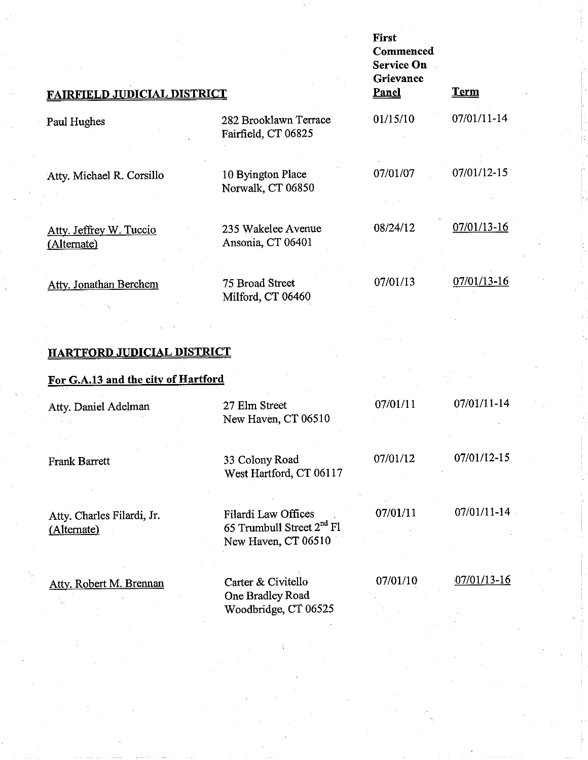| FAIRFIELD JUDICIAL DISTRICT            |                                              | <b>First</b><br>Commenced<br><b>Service On</b><br>Grievance<br><u>Panel</u> | <u>Term</u> |
|----------------------------------------|----------------------------------------------|-----------------------------------------------------------------------------|-------------|
| Paul Hughes                            | 282 Brooklawn Terrace<br>Fairfield, CT 06825 | 01/15/10                                                                    | 07/01/11-14 |
| Atty. Michael R. Corsillo              | 10 Byington Place<br>Norwalk, CT 06850       | 07/01/07                                                                    | 07/01/12-15 |
| Atty. Jeffrey W. Tuccio<br>(Alternate) | 235 Wakelee Avenue<br>Ansonia, CT 06401      | 08/24/12                                                                    | 07/01/13-16 |
| <b>Atty. Jonathan Berchem</b>          | 75 Broad Street<br>Milford, CT 06460         | 07/01/13                                                                    | 07/01/13-16 |

# HARTFORD JUDICIAL DISTRICT

# For G.A.13 and the city of Hartford

| Atty. Daniel Adelman                      | 27 Elm Street<br>New Haven, CT 06510                                         | 07/01/11 | 07/01/11-14   |
|-------------------------------------------|------------------------------------------------------------------------------|----------|---------------|
| <b>Frank Barrett</b>                      | 33 Colony Road<br>West Hartford, CT 06117                                    | 07/01/12 | 07/01/12-15   |
| Atty. Charles Filardi, Jr.<br>(Alternate) | Filardi Law Offices<br>65 Trumbull Street $2^{nd}$ Fl<br>New Haven, CT 06510 | 07/01/11 | 07/01/11-14   |
| Atty. Robert M. Brennan                   | Carter & Civitello<br>One Bradley Road<br>Woodbridge, CT 06525               | 07/01/10 | $07/01/13-16$ |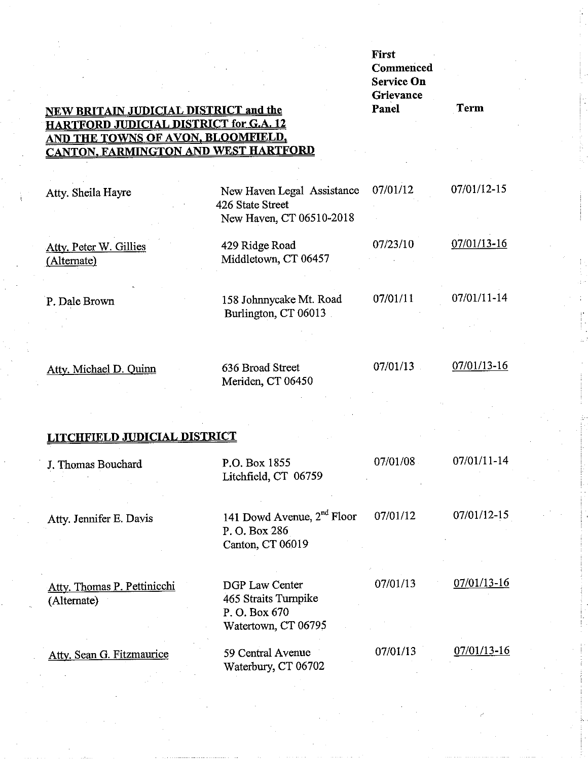|                                                                                     |                                                                            | <b>First</b><br>Commenced<br><b>Service On</b><br>Grievance |               |
|-------------------------------------------------------------------------------------|----------------------------------------------------------------------------|-------------------------------------------------------------|---------------|
| NEW BRITAIN JUDICIAL DISTRICT and the                                               |                                                                            | Panel                                                       | Term          |
| <b>HARTFORD JUDICIAL DISTRICT for G.A. 12</b><br>AND THE TOWNS OF AVON, BLOOMFIELD, |                                                                            |                                                             |               |
| <b>CANTON, FARMINGTON AND WEST HARTFORD</b>                                         |                                                                            |                                                             |               |
|                                                                                     |                                                                            |                                                             |               |
| Atty. Sheila Hayre                                                                  | New Haven Legal Assistance<br>426 State Street<br>New Haven, CT 06510-2018 | 07/01/12                                                    | 07/01/12-15   |
| Atty. Peter W. Gillies<br>(Alternate)                                               | 429 Ridge Road<br>Middletown, CT 06457                                     | 07/23/10                                                    | 07/01/13-16   |
| P. Dale Brown                                                                       | 158 Johnnycake Mt. Road<br>Burlington, CT 06013.                           | 07/01/11                                                    | 07/01/11-14   |
|                                                                                     |                                                                            |                                                             |               |
| Atty. Michael D. Quinn                                                              | 636 Broad Street<br>Meriden, CT 06450                                      | 07/01/13                                                    | $07/01/13-16$ |
|                                                                                     |                                                                            |                                                             |               |
| <b>THFIELD JUDICIAL DISTRICT</b>                                                    |                                                                            |                                                             |               |
| J. Thomas Bouchard                                                                  | P.O. Box 1855<br>Litchfield, CT 06759                                      | 07/01/08                                                    | 07/01/11-14   |
|                                                                                     |                                                                            |                                                             |               |

Atty. Jennifer E. Davis 141 Dowd Avenue,  $2<sup>nd</sup>$  Floor 07/01/12 07/01/12-15 P. O. Box 286 Canton, CT 06019

Atty. Thomas P. Pettinicchi DGP Law Center 07/01/13 07/01/13-16<br>(Alternate) 465 Straits Turnpike 465 Straits Turnpike P. O. Box 670 Watertown, CT 06795

Waterbury, CT 06702

Atty. Sean G. Fitzmaurice 59 Central Avenue 07/01/13 07/01/13-16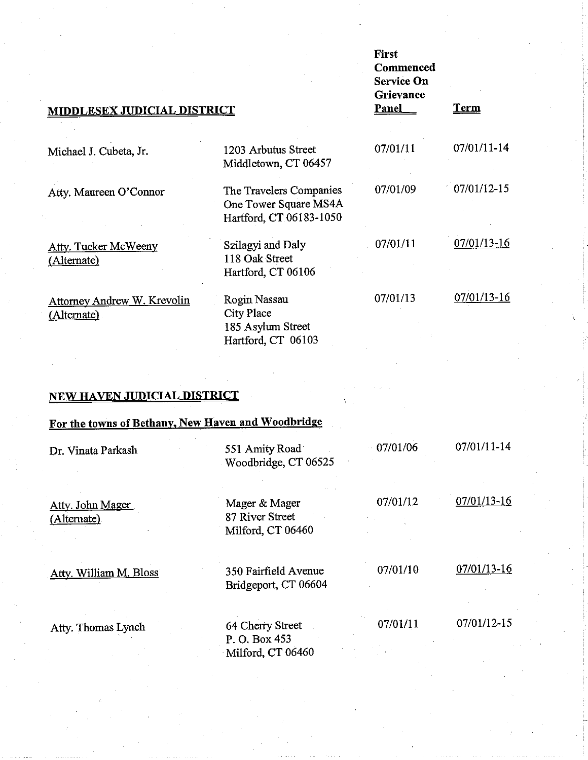| <b>MIDDLESEX JUDICIAL DISTRICT</b>         |                                                                              | <b>First</b><br>Commenced<br><b>Service On</b><br>Grievance<br><u>Panel</u> | <u>Term</u> |
|--------------------------------------------|------------------------------------------------------------------------------|-----------------------------------------------------------------------------|-------------|
| Michael J. Cubeta, Jr.                     | 1203 Arbutus Street<br>Middletown, CT 06457                                  | 07/01/11                                                                    | 07/01/11-14 |
| Atty. Maureen O'Connor                     | The Travelers Companies<br>One Tower Square MS4A<br>Hartford, CT 06183-1050  | 07/01/09                                                                    | 07/01/12-15 |
| <b>Atty. Tucker McWeeny</b><br>(Alternate) | Szilagyi and Daly<br>118 Oak Street<br>Hartford, CT 06106                    | 07/01/11                                                                    | 07/01/13-16 |
| Attorney Andrew W. Krevolin<br>(Alternate) | Rogin Nassau<br><b>City Place</b><br>185 Asylum Street<br>Hartford, CT 06103 | 07/01/13                                                                    | 07/01/13-16 |

# NEW HAVEN JUDICIAL DISTRICT

# For the towns of Bethany, New Haven and Woodbridge

| Dr. Vinata Parkash              | 551 Amity Road<br>Woodbridge, CT 06525                 | 07/01/06 | 07/01/11-14 |
|---------------------------------|--------------------------------------------------------|----------|-------------|
| Atty. John Mager<br>(Alternate) | Mager & Mager<br>87 River Street<br>Milford, CT 06460  | 07/01/12 | 07/01/13-16 |
| Atty. William M. Bloss          | 350 Fairfield Avenue<br>Bridgeport, CT 06604           | 07/01/10 | 07/01/13-16 |
| Atty. Thomas Lynch              | 64 Cherry Street<br>P. O. Box 453<br>Milford, CT 06460 | 07/01/11 | 07/01/12-15 |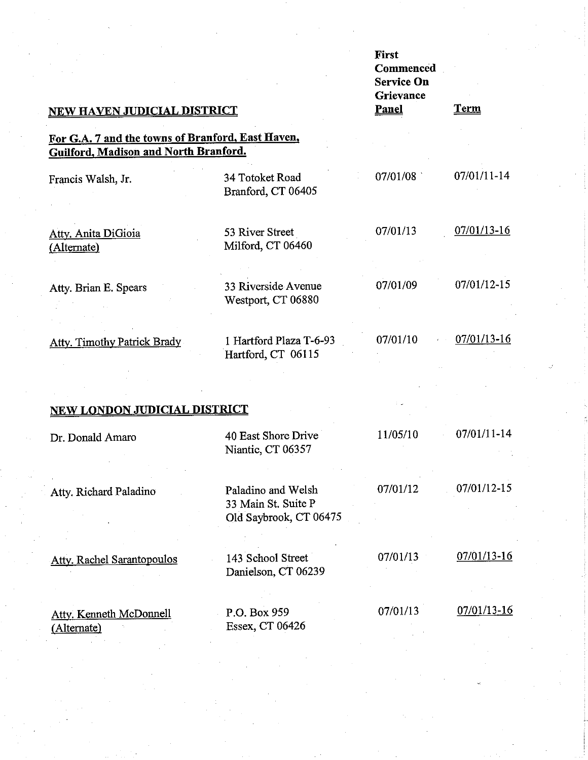|                                                                                            |                                               | <b>First</b><br><b>Commenced</b><br><b>Service On</b><br><b>Grievance</b><br><b>Panel</b> | <u>Term</u>     |
|--------------------------------------------------------------------------------------------|-----------------------------------------------|-------------------------------------------------------------------------------------------|-----------------|
| <b>NEW HAVEN JUDICIAL DISTRICT</b>                                                         |                                               |                                                                                           |                 |
| For G.A. 7 and the towns of Branford, East Haven,<br>Guilford, Madison and North Branford. |                                               |                                                                                           |                 |
|                                                                                            |                                               |                                                                                           |                 |
| Francis Walsh, Jr.                                                                         | 34 Totoket Road<br>Branford, CT 06405         | 07/01/08                                                                                  | 07/01/11-14     |
|                                                                                            |                                               |                                                                                           |                 |
| Atty. Anita DiGioia                                                                        | 53 River Street                               | 07/01/13                                                                                  | 07/01/13-16     |
| (Alternate)                                                                                | Milford, CT 06460                             |                                                                                           |                 |
|                                                                                            |                                               |                                                                                           |                 |
| Atty. Brian E. Spears                                                                      | 33 Riverside Avenue                           | 07/01/09                                                                                  | 07/01/12-15     |
|                                                                                            | Westport, CT 06880                            |                                                                                           |                 |
|                                                                                            |                                               | 07/01/10                                                                                  | 07/01/13-16     |
| <b>Atty. Timothy Patrick Brady</b>                                                         | 1 Hartford Plaza T-6-93<br>Hartford, CT 06115 |                                                                                           |                 |
|                                                                                            |                                               |                                                                                           |                 |
|                                                                                            |                                               |                                                                                           |                 |
| NEW LONDON JUDICIAL DISTRICT                                                               |                                               |                                                                                           |                 |
| Dr. Donald Amaro                                                                           | 40 East Shore Drive                           | 11/05/10                                                                                  | 07/01/11-14     |
|                                                                                            | Niantic, CT 06357                             |                                                                                           |                 |
|                                                                                            |                                               | 07/01/12                                                                                  | 07/01/12-15     |
|                                                                                            | Paladino and Welsh<br>33 Main St. Suite P     |                                                                                           |                 |
| Atty. Richard Paladino                                                                     |                                               |                                                                                           |                 |
|                                                                                            | Old Saybrook, CT 06475                        |                                                                                           |                 |
|                                                                                            |                                               |                                                                                           |                 |
| <b>Atty. Rachel Sarantopoulos</b>                                                          | 143 School Street<br>Danielson, CT 06239      | 07/01/13                                                                                  |                 |
|                                                                                            |                                               |                                                                                           | $07/01/13 - 16$ |
| <b>Atty. Kenneth McDonnell</b>                                                             | P.O. Box 959                                  | 07/01/13                                                                                  | 07/01/13-16     |
| (Alternate)                                                                                | Essex, CT 06426                               |                                                                                           |                 |
|                                                                                            |                                               |                                                                                           |                 |
|                                                                                            |                                               |                                                                                           |                 |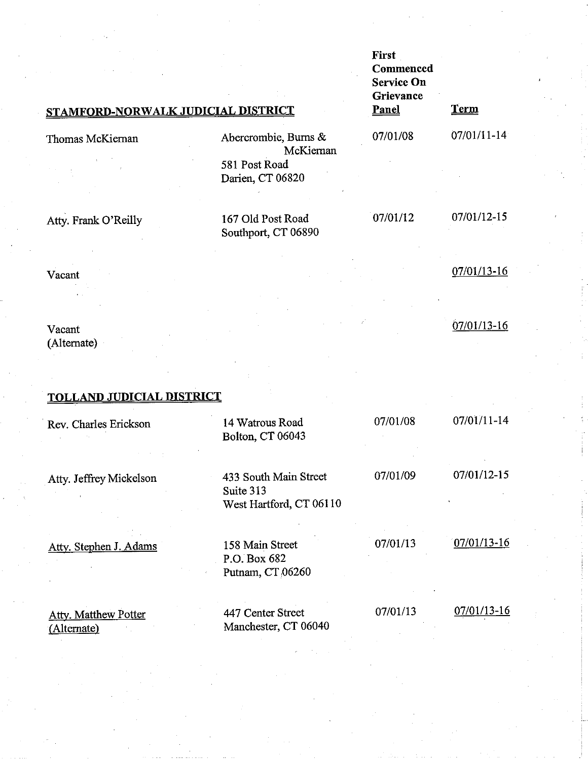| STAMFORD-NORWALK JUDICIAL DISTRICT                        |                                                        | <b>First</b><br>Commenced<br><b>Service On</b><br>Grievance<br><b>Panel</b> | <u>Term</u>   |
|-----------------------------------------------------------|--------------------------------------------------------|-----------------------------------------------------------------------------|---------------|
| Thomas McKiernan                                          | Abercrombie, Burns &<br>McKiernan<br>581 Post Road     | 07/01/08                                                                    | 07/01/11-14   |
|                                                           | Darien, CT 06820                                       |                                                                             |               |
| Atty. Frank O'Reilly                                      | 167 Old Post Road<br>Southport, CT 06890               | 07/01/12                                                                    | 07/01/12-15   |
| Vacant                                                    |                                                        |                                                                             | 07/01/13-16   |
| Vacant<br>(Alternate)                                     |                                                        |                                                                             | $07/01/13-16$ |
|                                                           |                                                        |                                                                             |               |
| <b>TOLLAND JUDICIAL DISTRICT</b><br>Rev. Charles Erickson | 14 Watrous Road                                        | 07/01/08                                                                    | 07/01/11-14   |
| Atty. Jeffrey Mickelson                                   | Bolton, CT 06043<br>433 South Main Street<br>Suite 313 | 07/01/09                                                                    | 07/01/12-15   |
| Atty. Stephen J. Adams                                    | West Hartford, CT 06110<br>158 Main Street             | 07/01/13                                                                    | $07/01/13-16$ |
|                                                           | P.O. Box 682<br>Putnam, CT 06260                       |                                                                             |               |
| <b>Atty. Matthew Potter</b><br>(Alternate)                | 447 Center Street<br>Manchester, CT 06040              | 07/01/13                                                                    | 07/01/13-16   |
|                                                           |                                                        |                                                                             |               |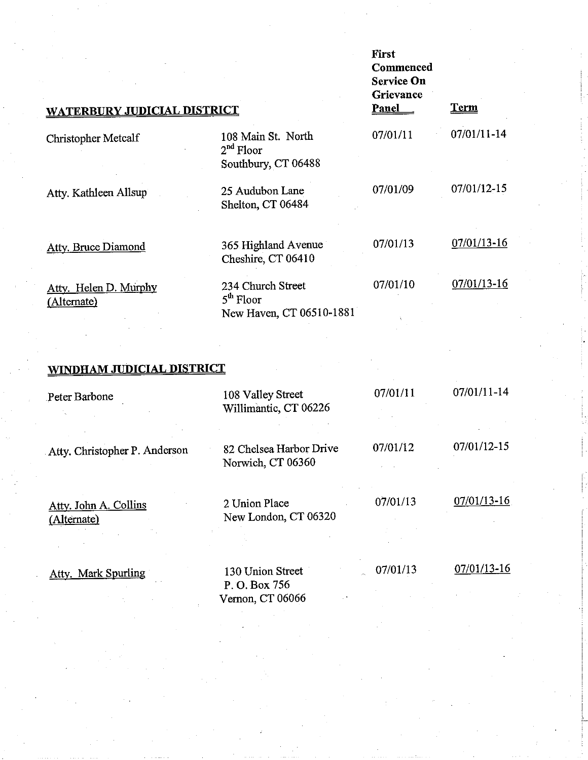|                                      |                                                                        | First<br>Commenced<br><b>Service On</b><br>Grievance<br><b>Panel</b> | <u>Term</u>     |
|--------------------------------------|------------------------------------------------------------------------|----------------------------------------------------------------------|-----------------|
| <b>WATERBURY JUDICIAL DISTRICT</b>   |                                                                        |                                                                      |                 |
| Christopher Metcalf                  | 108 Main St. North<br>$2nd$ Floor<br>Southbury, CT 06488               | 07/01/11                                                             | 07/01/11-14     |
| Atty. Kathleen Allsup                | 25 Audubon Lane<br>Shelton, CT 06484                                   | 07/01/09                                                             | 07/01/12-15     |
| <b>Atty</b> , Bruce Diamond          | 365 Highland Avenue<br>Cheshire, CT 06410                              | 07/01/13                                                             | $07/01/13 - 16$ |
| Atty. Helen D. Murphy<br>(Alternate) | 234 Church Street<br>$5^{\text{th}}$ Floor<br>New Haven, CT 06510-1881 | 07/01/10                                                             | 07/01/13-16     |
| WINDHAM JUDICIAL DISTRICT            |                                                                        |                                                                      |                 |
| Peter Barbone                        | 108 Valley Street<br>Willimantic, CT 06226                             | 07/01/11                                                             | 07/01/11-14     |
| Atty. Christopher P. Anderson        | 82 Chelsea Harbor Drive<br>Norwich, CT 06360                           | 07/01/12                                                             | 07/01/12-15     |
| Atty. John A. Collins<br>(Alternate) | 2 Union Place<br>New London, CT 06320                                  | 07/01/13                                                             | $07/01/13 - 16$ |

Atty. Mark Spurling

130 Union Street P. O. Box 756 Vemon, CT 06066

07/01/13-16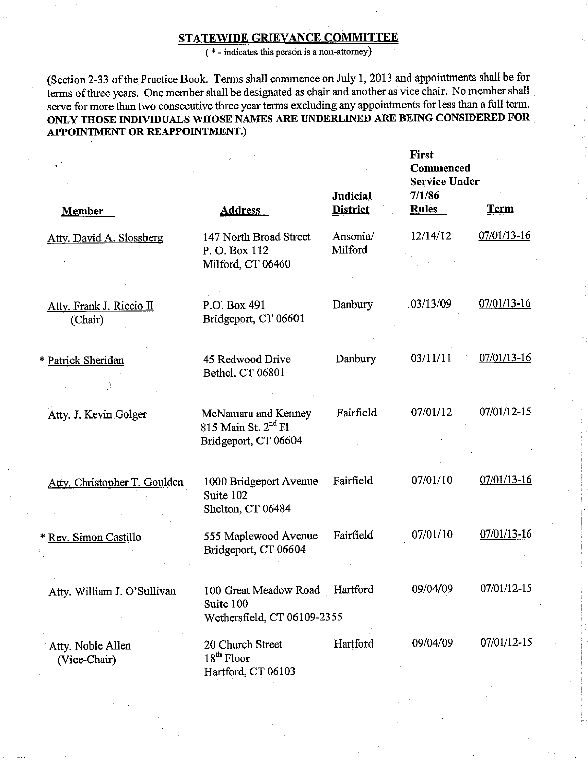## STATEWIDE GRIEVANCE COMMITTEE

 $(* - indicates this person is a non-attoney)$ 

(Section 2-33 of the Practice Book. Terms shall commence on July 1, 2013 and appointments shall be for terms of three years. One member shall be designated as chair and another as vice chair. No member shall serve for more than two consecutive three year terms excluding any appointments for less than a full term. ONLY THOSE INDIVIDUALS WHOSE NAMES ARE UNDERLINED ARE BEING CONSIDERED FOR APPOINTMENT OR REAPPOINTMENT.)

|                                     |                                                                      | Judicial            | First<br>Commenced<br><b>Service Under</b><br>7/1/86 |                 |  |
|-------------------------------------|----------------------------------------------------------------------|---------------------|------------------------------------------------------|-----------------|--|
| <b>Member</b>                       | <u>Address</u>                                                       | <b>District</b>     | <b>Rules</b>                                         | <u>Term</u>     |  |
| Atty. David A. Slossberg            | 147 North Broad Street<br>P. O. Box 112<br>Milford, CT 06460         | Ansonia/<br>Milford | 12/14/12                                             | $07/01/13 - 16$ |  |
| Atty. Frank J. Riccio II<br>(Chair) | P.O. Box 491<br>Bridgeport, CT 06601                                 | Danbury             | .03/13/09                                            | 07/01/13-16     |  |
| * Patrick Sheridan                  | 45 Redwood Drive<br>Bethel, CT 06801                                 | Danbury             | 03/11/11                                             | 07/01/13-16     |  |
| Atty. J. Kevin Golger               | McNamara and Kenney<br>815 Main St. $2nd$ Fl<br>Bridgeport, CT 06604 | Fairfield           | 07/01/12                                             | 07/01/12-15     |  |
| Atty. Christopher T. Goulden        | 1000 Bridgeport Avenue<br>Suite 102<br>Shelton, CT 06484             | Fairfield           | 07/01/10                                             | 07/01/13-16     |  |
| * Rev. Simon Castillo               | 555 Maplewood Avenue<br>Bridgeport, CT 06604                         | Fairfield           | 07/01/10                                             | 07/01/13-16     |  |
| Atty. William J. O'Sullivan         | 100 Great Meadow Road<br>Suite 100<br>Wethersfield, CT 06109-2355    | Hartford            | 09/04/09                                             | 07/01/12-15     |  |
| Atty. Noble Allen<br>(Vice-Chair)   | 20 Church Street<br>18 <sup>th</sup> Floor<br>Hartford, CT 06103     | Hartford            | 09/04/09                                             | 07/01/12-15     |  |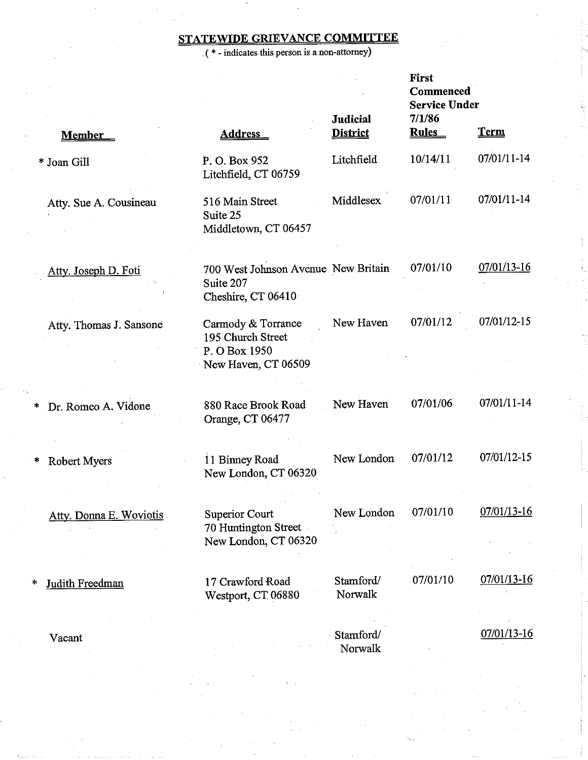# **STATEWIDE GRIEVANCE COMMITTEE**<br>(\*- indicates this person is a non-attorney)

| <b>Member</b>             | <b>Address</b>                                                                  | <b>Judicial</b><br><b>District</b> | First<br>Commenced<br><b>Service Under</b><br>7/1/86<br><u>Rules</u> | <u>Term</u>   |
|---------------------------|---------------------------------------------------------------------------------|------------------------------------|----------------------------------------------------------------------|---------------|
| * Joan Gill               | P. O. Box 952<br>Litchfield, CT 06759                                           | Litchfield                         | 10/14/11                                                             | 07/01/11-14   |
| Atty. Sue A. Cousineau    | 516 Main Street<br>Suite 25<br>Middletown, CT 06457                             | Middlesex                          | 07/01/11                                                             | 07/01/11-14   |
| Atty. Joseph D. Foti      | 700 West Johnson Avenue New Britain<br>Suite 207<br>Cheshire, CT 06410          |                                    | 07/01/10                                                             | $07/01/13-16$ |
| Atty. Thomas J. Sansone   | Carmody & Torrance<br>195 Church Street<br>P. O Box 1950<br>New Haven, CT 06509 | New Haven                          | 07/01/12                                                             | 07/01/12-15   |
| Dr. Romeo A. Vidone<br>ķ. | 880 Race Brook Road<br>Orange, CT 06477                                         | New Haven                          | 07/01/06                                                             | 07/01/11-14   |
| <b>Robert Myers</b><br>Ķ  | 11 Binney Road<br>New London, CT 06320                                          | New London                         | 07/01/12                                                             | 07/01/12-15   |
| Atty. Donna E. Woviotis   | <b>Superior Court</b><br>70 Huntington Street<br>New London, CT 06320           | New London                         | 07/01/10                                                             | 07/01/13-16   |
| Judith Freedman           | 17 Crawford Road<br>Westport, CT 06880                                          | Stamford/<br>Norwalk               | 07/01/10                                                             | $07/01/13-16$ |
| Vacant                    |                                                                                 | Stamford/<br>Norwalk               |                                                                      | 07/01/13-16   |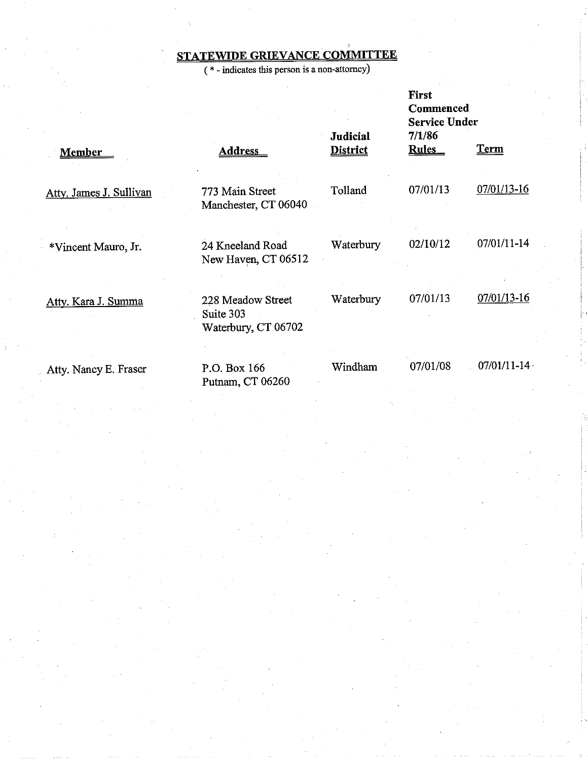# **STATEWIDE GRIEVANCE COMMITTEE**<br>(\*-indicates this person is a non-attorney)

|                         |                                                       |                                    | <b>First</b><br>Commenced<br><b>Service Under</b> |               |
|-------------------------|-------------------------------------------------------|------------------------------------|---------------------------------------------------|---------------|
| <u>Member</u>           | <u>Address</u>                                        | <b>Judicial</b><br><b>District</b> | 7/1/86<br><u>Rules</u>                            | <u>Term</u>   |
| Atty. James J. Sullivan | 773 Main Street<br>Manchester, CT 06040               | Tolland                            | 07/01/13                                          | 07/01/13-16   |
| *Vincent Mauro, Jr.     | 24 Kneeland Road<br>New Haven, CT 06512               | Waterbury                          | 02/10/12                                          | 07/01/11-14   |
| Atty. Kara J. Summa     | 228 Meadow Street<br>Suite 303<br>Waterbury, CT 06702 | Waterbury                          | 07/01/13                                          | 07/01/13-16   |
| Atty. Nancy E. Fraser   | P.O. Box 166<br>$P$ utnam $C$ T $06260$               | Windham                            | 07/01/08                                          | $07/01/11-14$ |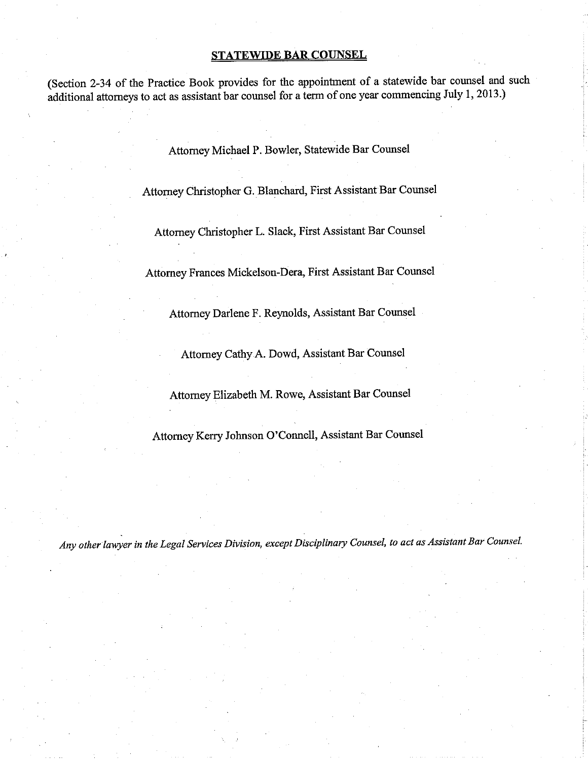#### STATEWIDE BAR COUNSEL

(Section 2-34 of the Practice Book provides for the appointrnent of a statewide bar counsel and such additional attorneys to act as assistant bar counsel for a term of one year commencing July 1, 2013.)

Attomey Michael P. Bowler, Statewide Bar Counsel

Attomey Christopher G. Blanchard, First Assistant Bar Counsel

Attomey Christopher L. Slack, First Assistant Bar Counsel

Attomey Frances Mickelson-Dera, First Assistant Bar Counsel

Attomey Darlene F. Reynolds, Assistant Bar Counsel

Attorney Cathy A. Dowd, Assistant Bar Counsel

Attomey Elizabeth M. Rowe, Assistant Bar Counsel

Attomey Kerry Johnson O'Connell, Assistant Bar Counsel

Any other lawyer in the Legal Services Division, except Disciplinary Counsel, to act as Assistant Bar Counsel.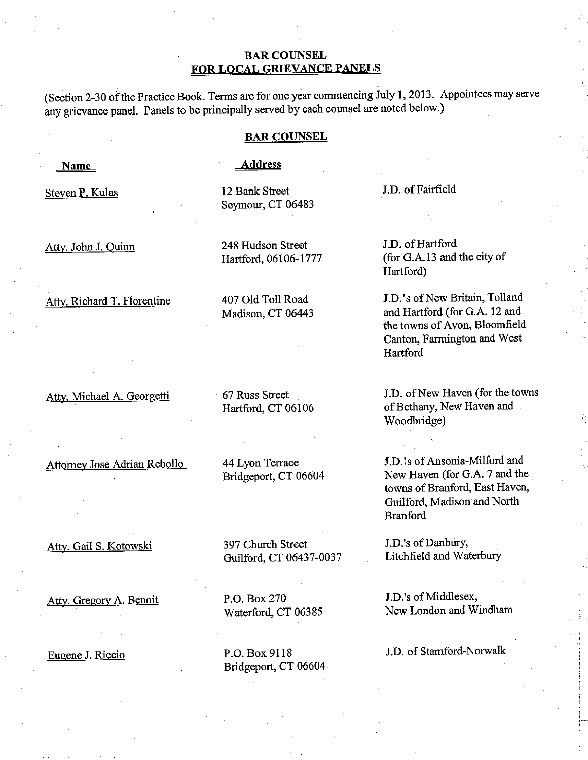# BAR COUNSEL<br>FOR LOCAL GRIEVANCE PANELS

(Section 2-30 of the Practice Book. Terms are for one year commencing July 1, 2013. Appointees may serve any grievance panel. Panels to be principally served by each counsel are noted below.)

#### **BAR COUNSEL**

#### **Address**

12 Bank Street Seymour, CT 06483

Name

Steven P. Kulas

Guilford, CT 06437-0037

Atty. Gregory A. Benoit P.O. Box 270 J.D.'s of Middlesex,<br>Waterford, CT 06385 New London and W

P.O. Box 9118 Bridgeport, CT 06604 (for  $G.A.13$  and the city of Hartford)

Atty. Richard T. Florentine 407 Old Toll Road J.D.'s of New Britain, Tolland<br>Madison, CT 06443 and Hartford (for G.A. 12 and and Hartford (for G.A. 12 and the towns of Avon, Bloomfield Canton, Farmington and West **Hartford** 

Atty. Michael A. Georgetti 67 Russ Street J.D. of New Haven (for the towns<br>Hartford, CT 06106 of Bethany, New Haven and of Bethany, New Haven and Woodbridge)

Attorney Jose Adrian Rebollo 44 Lyon Terrace J.D.'s of Ansonia-Milford and<br>Bridgeport, CT 06604 New Haven (for G.A. 7 and the New Haven (for G.A. 7 and the towns of Branford, East Haven, Guilford, Madison and North Branford

Atty. Gail S. Kotowski 397 Church Street J.D.'s of Danbury,<br>Guilford. CT 06437-0037 Litchfield and Waterbury

New London and Windham

Eugene J. Riccio R.O. Box 9118 J.D. of Stamford-Norwalk

J.D. of Fairfield

Atty. John J. Quinn 248 Hudson Street J.D. of Hartford<br>Hartford, 06106-1777 (for G.A.13 and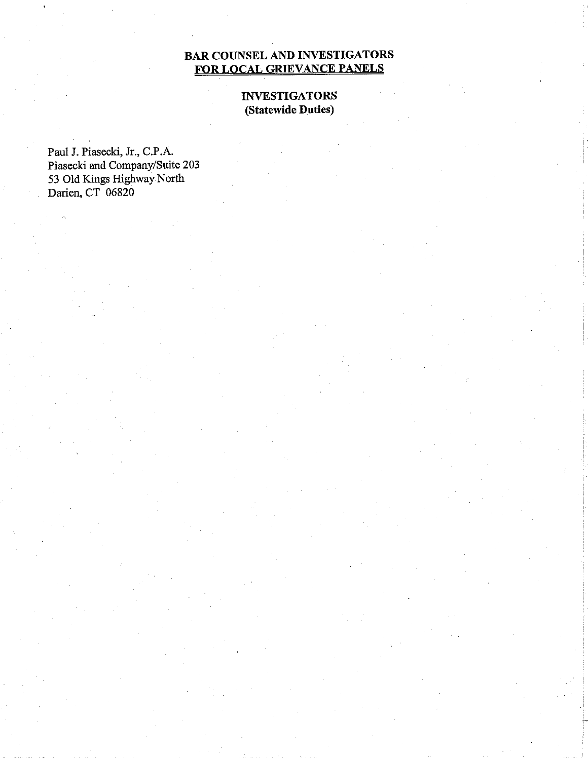## BAR COUNSEL AND INVESTIGATORS FOR LOCAL GRIEVANCE PANELS

## INVESTIGATORS (Statewide Duties)

Paul J. Piasecki, Jr., C.P.A. Piasecki and Company/Suite 203 53 Old Kings Highway North Darien, CT 06820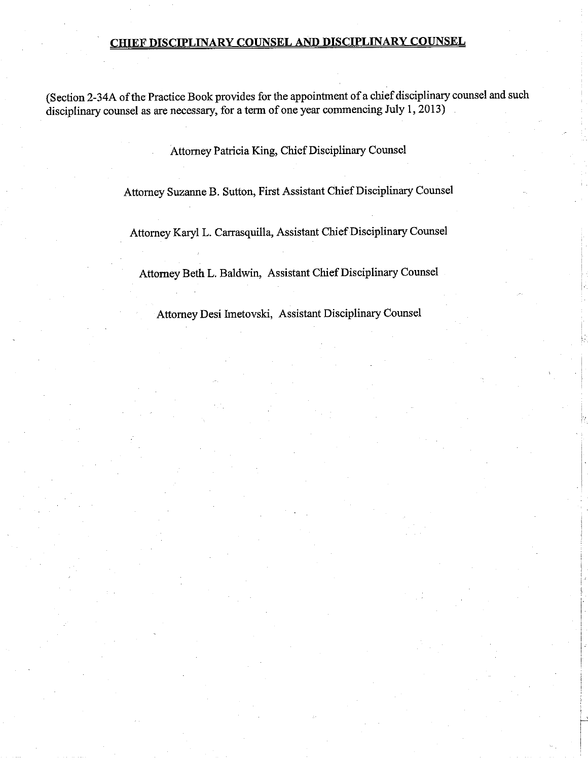#### CHIEF DISCIPLINARY COUNSEL AND DISCIPLINARY COUNSEL

(Section 2-34A of the Practice Book provides for the appointment of a chief disciplinary counsel and such disciplinary counsel as are necessary, for a term of one year commencing July 1, 2013)

Attorney Patricia King, Chief Disciplinary Counsel

Attomey Suzanne B. Sutton, First Assistant Chief Disciplinary Counsel

Attomey Karyl L. Carrasquilla, Assistant Chief Disciplinary Counsel

Attomey Beth L. Baldwin, Assistant Chief Disciplinary Counsel

Attomey Desi Imetovski, Assistant Disciplinary Counsel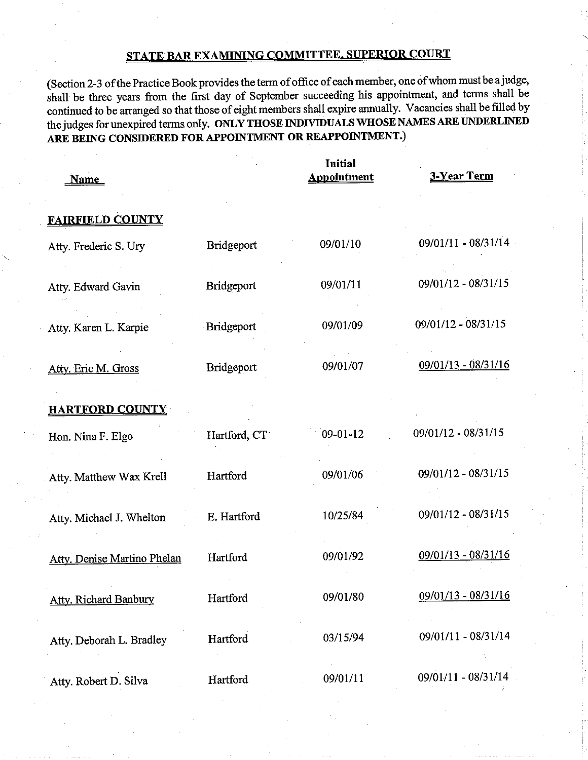# STATE BAR EXAMINING COMMITTEE, SUPERIOR COURT

(Section 2-3 of the Practice Book provides the term of office of each member, one of whom must be a judge, shall be three years from the first day of September succeeding his appointment, and terms shall be continued to be arranged so that those of eight members shall expire annually. Vacancies shall be filled by the judges for unexpired terms only. ONLY THOSE INDIVIDUALS WHOSE NAMES ARE UNDERLINED ARE BEING CONSIDERED FOR APPOINTMENT OR REAPPOINTMENT.)

| <b>Name</b>                  |                           | <b>Initial</b><br><b>Appointment</b> | 3-Year Term           |
|------------------------------|---------------------------|--------------------------------------|-----------------------|
| <b>FAIRFIELD COUNTY</b>      |                           |                                      |                       |
| Atty. Frederic S. Ury        | <b>Bridgeport</b>         | 09/01/10                             | 09/01/11 - 08/31/14   |
| Atty. Edward Gavin           | Bridgeport                | 09/01/11                             | 09/01/12 - 08/31/15   |
| Atty. Karen L. Karpie        | Bridgeport                | 09/01/09                             | 09/01/12 - 08/31/15   |
| Atty. Eric M. Gross          | Bridgeport                | 09/01/07                             | 09/01/13 - 08/31/16   |
| <b>HARTFORD COUNT</b>        |                           |                                      |                       |
| Hon. Nina F. Elgo            | Hartford, CT <sup>-</sup> | $09 - 01 - 12$                       | 09/01/12 - 08/31/15   |
| Atty. Matthew Wax Krell      | Hartford                  | 09/01/06                             | 09/01/12 - 08/31/15   |
| Atty. Michael J. Whelton     | E. Hartford               | 10/25/84                             | 09/01/12 - 08/31/15   |
| Atty. Denise Martino Phelan  | Hartford                  | 09/01/92                             | 09/01/13 - 08/31/16   |
| <b>Atty. Richard Banbury</b> | Hartford                  | 09/01/80                             | $09/01/13 - 08/31/16$ |
| Atty. Deborah L. Bradley     | Hartford                  | 03/15/94                             | 09/01/11 - 08/31/14   |
| Atty. Robert D. Silva        | Hartford                  | 09/01/11                             | 09/01/11 - 08/31/14   |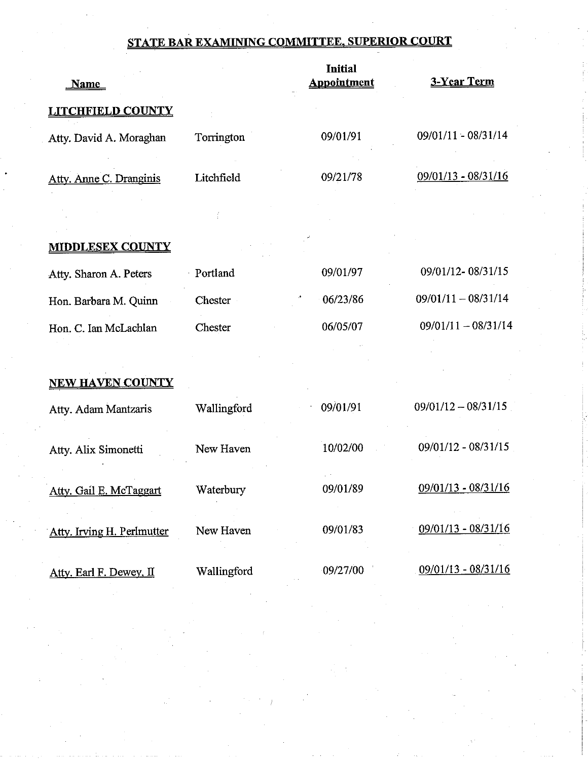# STATE BAR EXAMINING COMMITTEE, SUPERIOR COURT

| <b>Name</b>                |             | Initial<br><b>Appointment</b> | 3-Year Term           |
|----------------------------|-------------|-------------------------------|-----------------------|
| <b>TCHFIELD COUNTY</b>     |             |                               |                       |
| Atty. David A. Moraghan    | Torrington  | 09/01/91                      | $09/01/11 - 08/31/14$ |
| Atty. Anne C. Dranginis    | Litchfield  | 09/21/78                      | $09/01/13 - 08/31/16$ |
|                            |             |                               |                       |
| <b>MIDDLESEX COUNTY</b>    |             |                               |                       |
| Atty. Sharon A. Peters     | Portland    | 09/01/97                      | 09/01/12-08/31/15     |
| Hon. Barbara M. Quinn      | Chester     | 06/23/86                      | $09/01/11 - 08/31/14$ |
| Hon. C. Ian McLachlan      | Chester     | 06/05/07                      | $09/01/11 - 08/31/14$ |
| <b>NEW HAVEN COUNTY</b>    |             |                               |                       |
| Atty. Adam Mantzaris       | Wallingford | 09/01/91                      | $09/01/12 - 08/31/15$ |
| Atty. Alix Simonetti       | New Haven   | 10/02/00                      | 09/01/12 - 08/31/15   |
| Atty. Gail E. McTaggart    | Waterbury   | 09/01/89                      | 09/01/13 - 08/31/16   |
| Atty. Irving H. Perlmutter | New Haven   | 09/01/83                      | 09/01/13 - 08/31/16   |
| Atty. Earl F. Dewey, II    | Wallingford | 09/27/00                      | 09/01/13 - 08/31/16   |
|                            |             |                               |                       |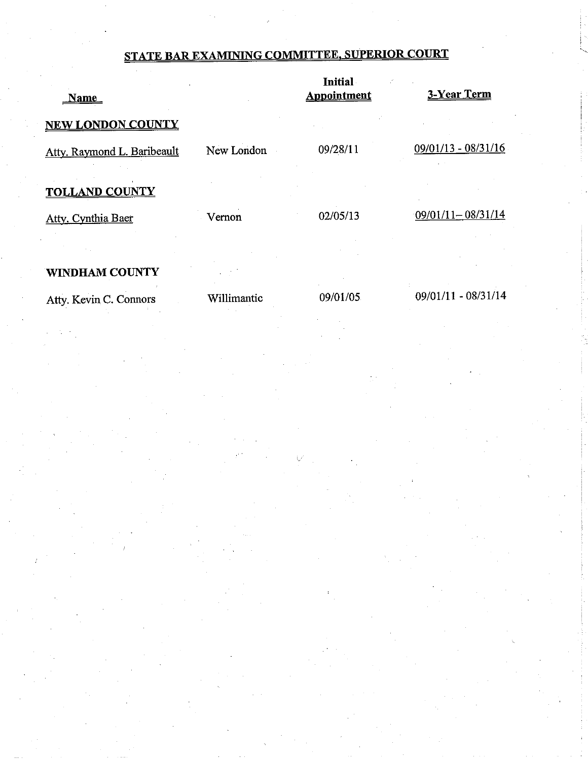# STATE BAR EXAMINING COMMITTEE, SUPERIOR COURT

 $\mathbf{r}$  $\overline{a}$ 

|                             |             | <b>Initial</b>     |                       |
|-----------------------------|-------------|--------------------|-----------------------|
| <u>Name</u>                 |             | <b>Appointment</b> | 3-Year Term           |
| <b>NEW LONDON COUNTY</b>    |             |                    |                       |
| Atty. Raymond L. Baribeault | New London  | 09/28/11           | $09/01/13 - 08/31/16$ |
| <b>TOLLAND COUNTY</b>       |             |                    |                       |
| Atty. Cynthia Baer          | Vernon      | 02/05/13           | $09/01/11 - 08/31/14$ |
|                             |             |                    |                       |
| <b>WINDHAM COUNTY</b>       |             |                    |                       |
| Atty. Kevin C. Connors      | Willimantic | 09/01/05           | 09/01/11 - 08/31/14   |
|                             |             |                    |                       |
|                             |             |                    |                       |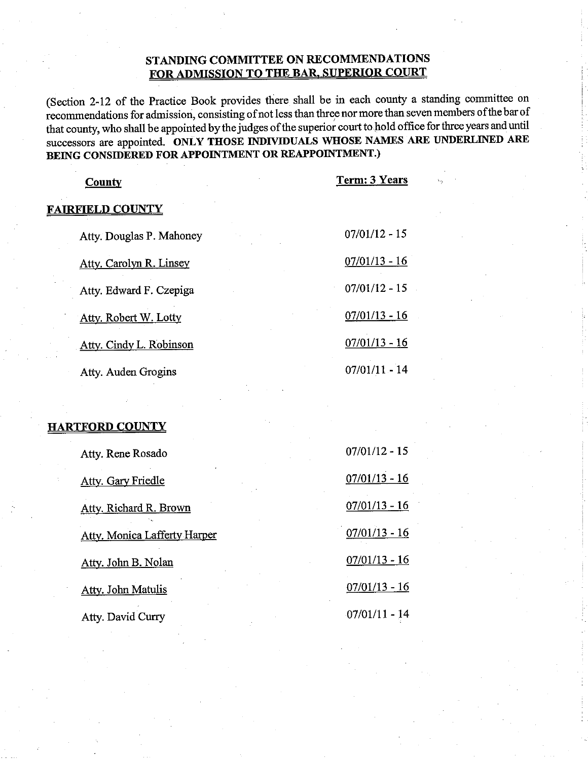## STANDING COMMITTEE ON RECOMMENDATIONS FOR ADMISSION TO THE BAR, SUPERIOR COURT

(Section 2-12 of the Practice Book provides there shall be in each county a standing committee on recommendations for admission, consisting of not less than three nor more than seven members of the bar of that county, who shall be appointed by the judges ofthe superior court to hold office for three years and until successors are appointed. ONLY THOSE INDIVIDUALS WHOSE NAMES ARE UNDERLINED ARE BEING CONSIDERED FOR APPOINTMENT OR REAPPOINTMENT.)

| <b>County</b>            | <b>Term: 3 Years</b> |
|--------------------------|----------------------|
| <b>FAIRFIELD COUNTY</b>  |                      |
| Atty. Douglas P. Mahoney | $07/01/12 - 15$      |
| Atty. Carolyn R. Linsey  | $07/01/13 - 16$      |
| Atty. Edward F. Czepiga  | $07/01/12 - 15$      |
| Atty. Robert W. Lotty    | $07/01/13 - 16$      |
| Atty. Cindy L. Robinson  | $07/01/13 - 16$      |
| Atty. Auden Grogins      | $07/01/11 - 14$      |

#### **HARTFORD COUNTY**

| Atty. Rene Rosado            | $07/01/12 - 15$ |
|------------------------------|-----------------|
| <b>Atty. Gary Friedle</b>    | $07/01/13 - 16$ |
| Atty. Richard R. Brown       | $07/01/13 - 16$ |
| Atty. Monica Lafferty Harper | $07/01/13 - 16$ |
| Atty. John B. Nolan          | $07/01/13 - 16$ |
| Atty. John Matulis           | $07/01/13 - 16$ |
| Atty. David Curry            | $07/01/11 - 14$ |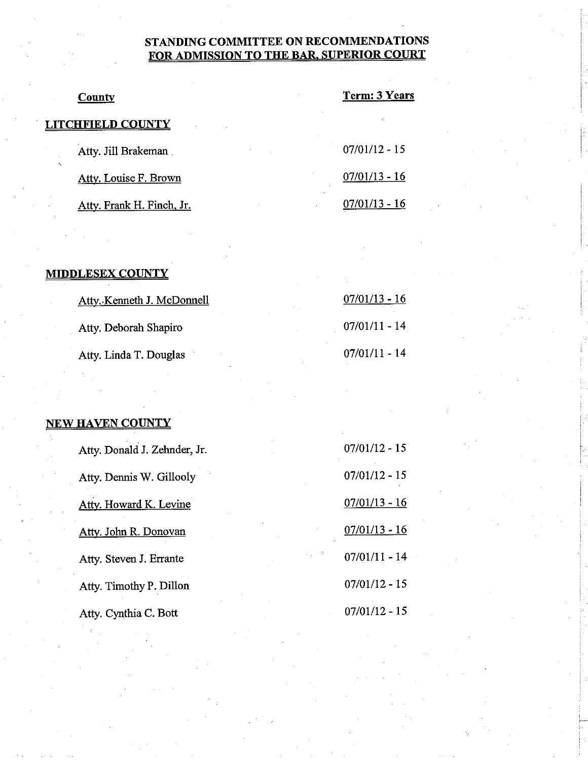# STANDING COMMITTEE ON RECOMMENDATIONS FOR ADMISSION TO THE BAR, SUPERIOR COURT

|   | County                    | Term: 3 Years   |
|---|---------------------------|-----------------|
|   | <u>TCHFIELD COUNTY</u>    |                 |
|   | Atty. Jill Brakeman       | $07/01/12 - 15$ |
| ↖ | Atty. Louise F. Brown     | $07/01/13 - 16$ |
|   | Atty. Frank H. Finch, Jr. |                 |

# **MIDDLESEX COUNTY**

| Atty. Kenneth J. McDonnell | $07/01/13 - 16$ |
|----------------------------|-----------------|
| Atty. Deborah Shapiro      | $07/01/11 - 14$ |
| Atty. Linda T. Douglas     | $07/01/11 - 14$ |

## **NEW HAVEN COUNTY**

| Atty. Donald J. Zehnder, Jr. | $07/01/12 - 15$ |
|------------------------------|-----------------|
| Atty. Dennis W. Gillooly     | $07/01/12 - 15$ |
| Atty. Howard K. Levine       | $07/01/13 - 16$ |
| Atty. John R. Donovan        | $07/01/13 - 16$ |
| Atty. Steven J. Errante      | $07/01/11 - 14$ |
| Atty. Timothy P. Dillon      | $07/01/12 - 15$ |
| Atty. Cynthia C. Bott        | $07/01/12 - 15$ |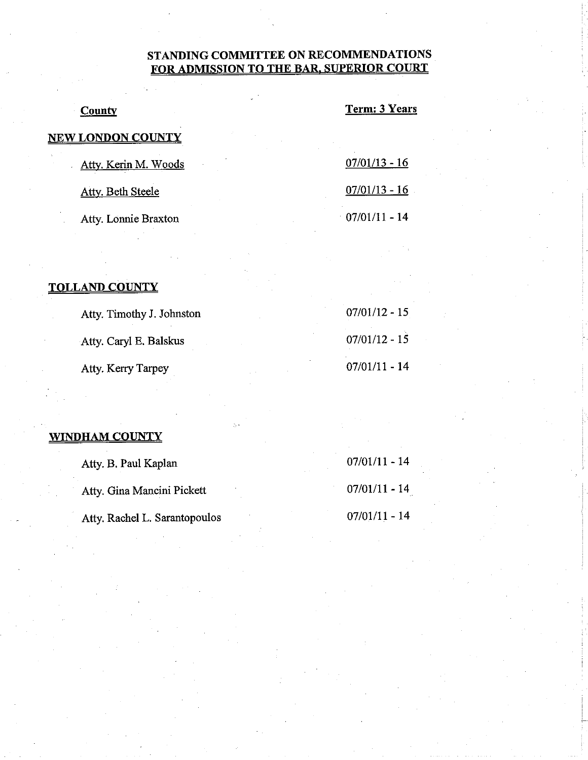# STANDING COMMITTEE ON RECOMMENDATIONS FOR ADMISSION TO THE BAR, SUPERIOR COURT

| County                   | Term: 3 Years   |
|--------------------------|-----------------|
| <b>NEW LONDON COUNTY</b> |                 |
| Atty. Kerin M. Woods     | $07/01/13 - 16$ |
| <b>Atty. Beth Steele</b> | $07/01/13 - 16$ |
| Atty. Lonnie Braxton     | $07/01/11 - 14$ |

# **TOLLAND COUNTY**

| Atty. Timothy J. Johnston | $07/01/12 - 15$ |
|---------------------------|-----------------|
| Atty. Caryl E. Balskus    | $07/01/12 - 15$ |
| Atty. Kerry Tarpey        | $07/01/11 - 14$ |

# WINDHAM COUNTY

| Atty. B. Paul Kaplan          | $07/01/11 - 14$ |
|-------------------------------|-----------------|
| Atty. Gina Mancini Pickett    | $07/01/11 - 14$ |
| Atty. Rachel L. Sarantopoulos | $07/01/11 - 14$ |